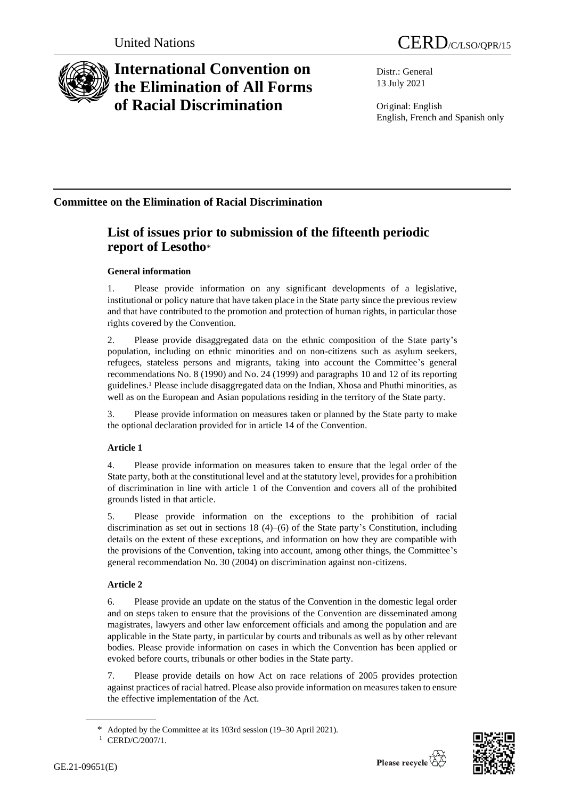

# **International Convention on the Elimination of All Forms of Racial Discrimination**

Distr.: General 13 July 2021

Original: English English, French and Spanish only

## **Committee on the Elimination of Racial Discrimination**

## **List of issues prior to submission of the fifteenth periodic report of Lesotho**\*

## **General information**

1. Please provide information on any significant developments of a legislative, institutional or policy nature that have taken place in the State party since the previous review and that have contributed to the promotion and protection of human rights, in particular those rights covered by the Convention.

2. Please provide disaggregated data on the ethnic composition of the State party's population, including on ethnic minorities and on non-citizens such as asylum seekers, refugees, stateless persons and migrants, taking into account the Committee's general recommendations No. 8 (1990) and No. 24 (1999) and paragraphs 10 and 12 of its reporting guidelines.<sup>1</sup> Please include disaggregated data on the Indian, Xhosa and Phuthi minorities, as well as on the European and Asian populations residing in the territory of the State party.

3. Please provide information on measures taken or planned by the State party to make the optional declaration provided for in article 14 of the Convention.

## **Article 1**

4. Please provide information on measures taken to ensure that the legal order of the State party, both at the constitutional level and at the statutory level, provides for a prohibition of discrimination in line with article 1 of the Convention and covers all of the prohibited grounds listed in that article.

5. Please provide information on the exceptions to the prohibition of racial discrimination as set out in sections  $18 (4)$ – $(6)$  of the State party's Constitution, including details on the extent of these exceptions, and information on how they are compatible with the provisions of the Convention, taking into account, among other things, the Committee's general recommendation No. 30 (2004) on discrimination against non-citizens.

## **Article 2**

6. Please provide an update on the status of the Convention in the domestic legal order and on steps taken to ensure that the provisions of the Convention are disseminated among magistrates, lawyers and other law enforcement officials and among the population and are applicable in the State party, in particular by courts and tribunals as well as by other relevant bodies. Please provide information on cases in which the Convention has been applied or evoked before courts, tribunals or other bodies in the State party.

7. Please provide details on how Act on race relations of 2005 provides protection against practices of racial hatred. Please also provide information on measures taken to ensure the effective implementation of the Act.



Adopted by the Committee at its 103rd session (19–30 April 2021).

<sup>&</sup>lt;sup>1</sup> CERD/C/2007/1.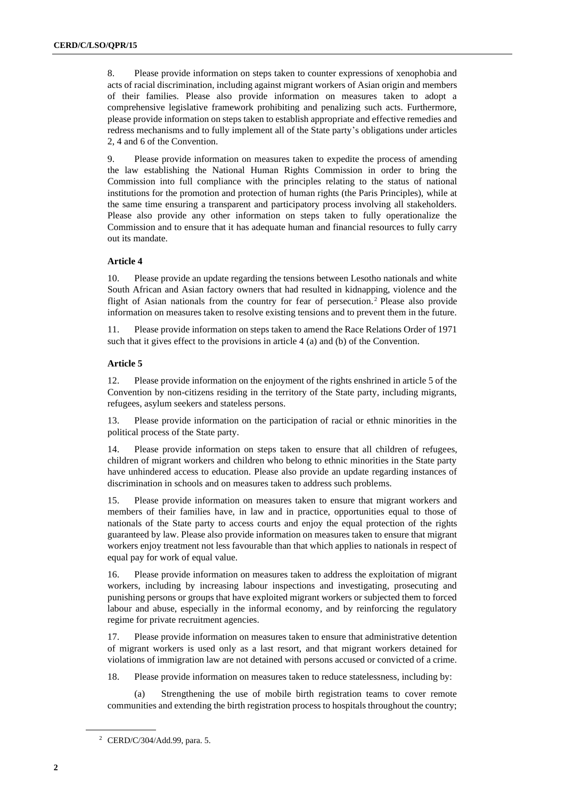8. Please provide information on steps taken to counter expressions of xenophobia and acts of racial discrimination, including against migrant workers of Asian origin and members of their families. Please also provide information on measures taken to adopt a comprehensive legislative framework prohibiting and penalizing such acts. Furthermore, please provide information on steps taken to establish appropriate and effective remedies and redress mechanisms and to fully implement all of the State party's obligations under articles 2, 4 and 6 of the Convention.

9. Please provide information on measures taken to expedite the process of amending the law establishing the National Human Rights Commission in order to bring the Commission into full compliance with the principles relating to the status of national institutions for the promotion and protection of human rights (the Paris Principles), while at the same time ensuring a transparent and participatory process involving all stakeholders. Please also provide any other information on steps taken to fully operationalize the Commission and to ensure that it has adequate human and financial resources to fully carry out its mandate.

### **Article 4**

10. Please provide an update regarding the tensions between Lesotho nationals and white South African and Asian factory owners that had resulted in kidnapping, violence and the flight of Asian nationals from the country for fear of persecution.<sup>2</sup> Please also provide information on measures taken to resolve existing tensions and to prevent them in the future.

11. Please provide information on steps taken to amend the Race Relations Order of 1971 such that it gives effect to the provisions in article 4 (a) and (b) of the Convention.

### **Article 5**

12. Please provide information on the enjoyment of the rights enshrined in article 5 of the Convention by non-citizens residing in the territory of the State party, including migrants, refugees, asylum seekers and stateless persons.

13. Please provide information on the participation of racial or ethnic minorities in the political process of the State party.

14. Please provide information on steps taken to ensure that all children of refugees, children of migrant workers and children who belong to ethnic minorities in the State party have unhindered access to education. Please also provide an update regarding instances of discrimination in schools and on measures taken to address such problems.

15. Please provide information on measures taken to ensure that migrant workers and members of their families have, in law and in practice, opportunities equal to those of nationals of the State party to access courts and enjoy the equal protection of the rights guaranteed by law. Please also provide information on measures taken to ensure that migrant workers enjoy treatment not less favourable than that which applies to nationals in respect of equal pay for work of equal value.

16. Please provide information on measures taken to address the exploitation of migrant workers, including by increasing labour inspections and investigating, prosecuting and punishing persons or groups that have exploited migrant workers or subjected them to forced labour and abuse, especially in the informal economy, and by reinforcing the regulatory regime for private recruitment agencies.

17. Please provide information on measures taken to ensure that administrative detention of migrant workers is used only as a last resort, and that migrant workers detained for violations of immigration law are not detained with persons accused or convicted of a crime.

18. Please provide information on measures taken to reduce statelessness, including by:

(a) Strengthening the use of mobile birth registration teams to cover remote communities and extending the birth registration process to hospitals throughout the country;

<sup>2</sup> CERD/C/304/Add.99, para. 5.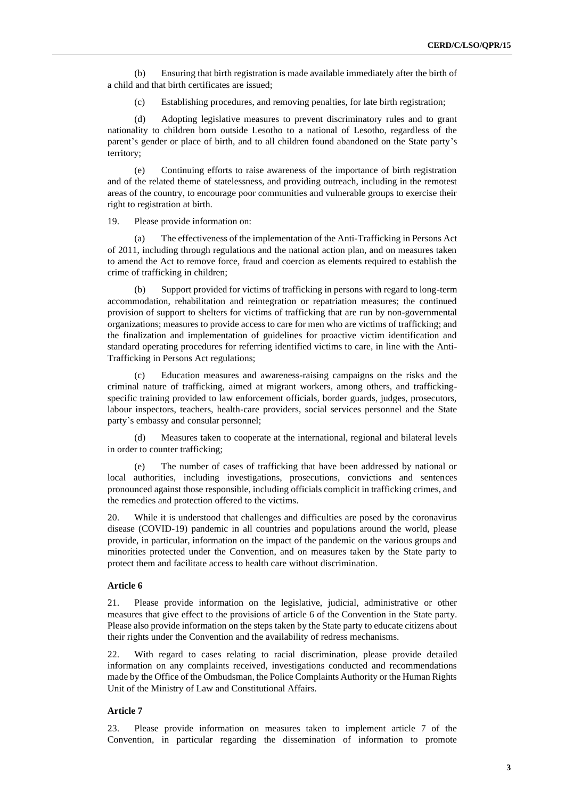(b) Ensuring that birth registration is made available immediately after the birth of a child and that birth certificates are issued;

(c) Establishing procedures, and removing penalties, for late birth registration;

(d) Adopting legislative measures to prevent discriminatory rules and to grant nationality to children born outside Lesotho to a national of Lesotho, regardless of the parent's gender or place of birth, and to all children found abandoned on the State party's territory;

(e) Continuing efforts to raise awareness of the importance of birth registration and of the related theme of statelessness, and providing outreach, including in the remotest areas of the country, to encourage poor communities and vulnerable groups to exercise their right to registration at birth.

19. Please provide information on:

(a) The effectiveness of the implementation of the Anti-Trafficking in Persons Act of 2011, including through regulations and the national action plan, and on measures taken to amend the Act to remove force, fraud and coercion as elements required to establish the crime of trafficking in children;

(b) Support provided for victims of trafficking in persons with regard to long-term accommodation, rehabilitation and reintegration or repatriation measures; the continued provision of support to shelters for victims of trafficking that are run by non-governmental organizations; measures to provide access to care for men who are victims of trafficking; and the finalization and implementation of guidelines for proactive victim identification and standard operating procedures for referring identified victims to care, in line with the Anti-Trafficking in Persons Act regulations;

(c) Education measures and awareness-raising campaigns on the risks and the criminal nature of trafficking, aimed at migrant workers, among others, and traffickingspecific training provided to law enforcement officials, border guards, judges, prosecutors, labour inspectors, teachers, health-care providers, social services personnel and the State party's embassy and consular personnel;

(d) Measures taken to cooperate at the international, regional and bilateral levels in order to counter trafficking;

(e) The number of cases of trafficking that have been addressed by national or local authorities, including investigations, prosecutions, convictions and sentences pronounced against those responsible, including officials complicit in trafficking crimes, and the remedies and protection offered to the victims.

20. While it is understood that challenges and difficulties are posed by the coronavirus disease (COVID-19) pandemic in all countries and populations around the world, please provide, in particular, information on the impact of the pandemic on the various groups and minorities protected under the Convention, and on measures taken by the State party to protect them and facilitate access to health care without discrimination.

### **Article 6**

21. Please provide information on the legislative, judicial, administrative or other measures that give effect to the provisions of article 6 of the Convention in the State party. Please also provide information on the steps taken by the State party to educate citizens about their rights under the Convention and the availability of redress mechanisms.

22. With regard to cases relating to racial discrimination, please provide detailed information on any complaints received, investigations conducted and recommendations made by the Office of the Ombudsman, the Police Complaints Authority or the Human Rights Unit of the Ministry of Law and Constitutional Affairs.

### **Article 7**

23. Please provide information on measures taken to implement article 7 of the Convention, in particular regarding the dissemination of information to promote